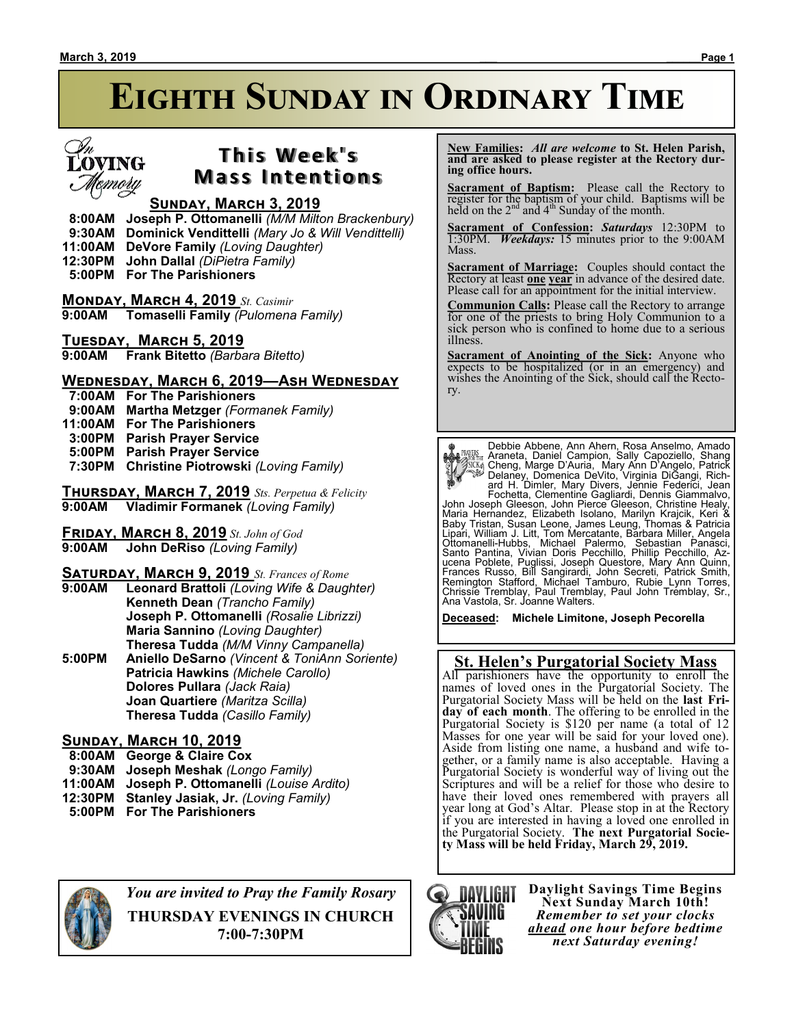

## **T h i s We e k ' s Mass Intentions**

### **Sunday, March 3, 2019**

 **8:00AM Joseph P. Ottomanelli** *(M/M Milton Brackenbury)*

- **9:30AM Dominick Vendittelli** *(Mary Jo & Will Vendittelli)*
- **11:00AM DeVore Family** *(Loving Daughter)*
- **12:30PM John Dallal** *(DiPietra Family)*
- **5:00PM For The Parishioners**

**Monday, March 4, 2019** *St. Casimir* **9:00AM Tomaselli Family** *(Pulomena Family)*

### **Tuesday, March 5, 2019**

**9:00AM Frank Bitetto** *(Barbara Bitetto)*

### **Wednesday, March 6, 2019—Ash Wednesday**

- **7:00AM For The Parishioners**
- **9:00AM Martha Metzger** *(Formanek Family)*
- **11:00AM For The Parishioners**
- **3:00PM Parish Prayer Service**
- **5:00PM Parish Prayer Service**
- **7:30PM Christine Piotrowski** *(Loving Family)*

**Thursday, March 7, 2019** *Sts. Perpetua & Felicity* **9:00AM Vladimir Formanek** *(Loving Family)*

**Friday, March 8, 2019** *St. John of God* **9:00 John DeRiso** *(Loving Family)* 

### **Saturday, March 9, 2019** *St. Frances of Rome*

**9:00AM Leonard Brattoli** *(Loving Wife & Daughter)* **Kenneth Dean** *(Trancho Family)* **Joseph P. Ottomanelli** *(Rosalie Librizzi)* **Maria Sannino** *(Loving Daughter)* **Theresa Tudda** *(M/M Vinny Campanella)* **5:00PM Aniello DeSarno** *(Vincent & ToniAnn Soriente)* **Patricia Hawkins** *(Michele Carollo)* **Dolores Pullara** *(Jack Raia)* **Joan Quartiere** *(Maritza Scilla)* **Theresa Tudda** *(Casillo Family)*

### **Sunday, March 10, 2019**

- **8:00AM George & Claire Cox**
- **9:30AM Joseph Meshak** *(Longo Family)*
- **11:00AM Joseph P. Ottomanelli** *(Louise Ardito)*
- **12:30PM Stanley Jasiak, Jr.** *(Loving Family)*
- **5:00PM For The Parishioners**

 **New Families:** *All are welcome* **to St. Helen Parish, and are asked to please register at the Rectory during office hours.**

**Sacrament of Baptism:** Please call the Rectory to register for the baptism of your child. Baptisms will be held on the  $2<sup>nd</sup>$  and  $4<sup>th</sup>$  Sunday of the month.

**Sacrament of Confession:** *Saturdays* 12:30PM to 1:30PM. *Weekdays:* 15 minutes prior to the 9:00AM Mass.

**Sacrament of Marriage:**Couples should contact the Rectory at least **one year** in advance of the desired date. Please call for an appointment for the initial interview.

**Communion Calls:** Please call the Rectory to arrange for one of the priests to bring Holy Communion to a sick person who is confined to home due to a serious illness.

**Sacrament of Anointing of the Sick:** Anyone who expects to be hospitalized (or in an emergency) and wishes the Anointing of the Sick, should call the Rectory.

**PARKING MARGE Abbene, Ann Ahern, Rosa Anselmo, Amado**<br> **PARGE Abbene, Marge D'Auria, Marge D'Angelo, Shang Marge D'Auria, Marge D'Auria, Marge D'Angelo, Patrick<br>
Delaney, Domenica DeVito, Virginia DiGangi, Richard H. Diml** 

**Deceased: Michele Limitone, Joseph Pecorella**

### **St. Helen's Purgatorial Society Mass**

All parishioners have the opportunity to enroll the names of loved ones in the Purgatorial Society. The Purgatorial Society Mass will be held on the **last Friday of each month**. The offering to be enrolled in the Purgatorial Society is \$120 per name (a total of 12 Masses for one year will be said for your loved one). Aside from listing one name, a husband and wife together, or a family name is also acceptable. Having a Purgatorial Society is wonderful way of living out the Scriptures and will be a relief for those who desire to have their loved ones remembered with prayers all year long at God's Altar. Please stop in at the Rectory if you are interested in having a loved one enrolled in the Purgatorial Society. **The next Purgatorial Society Mass will be held Friday, March 29, 2019.**



*You are invited to Pray the Family Rosary*

**THURSDAY EVENINGS IN CHURCH 7:00-7:30PM**



**Daylight Savings Time Begins Next Sunday March 10th!** *Remember to set your clocks ahead one hour before bedtime next Saturday evening!*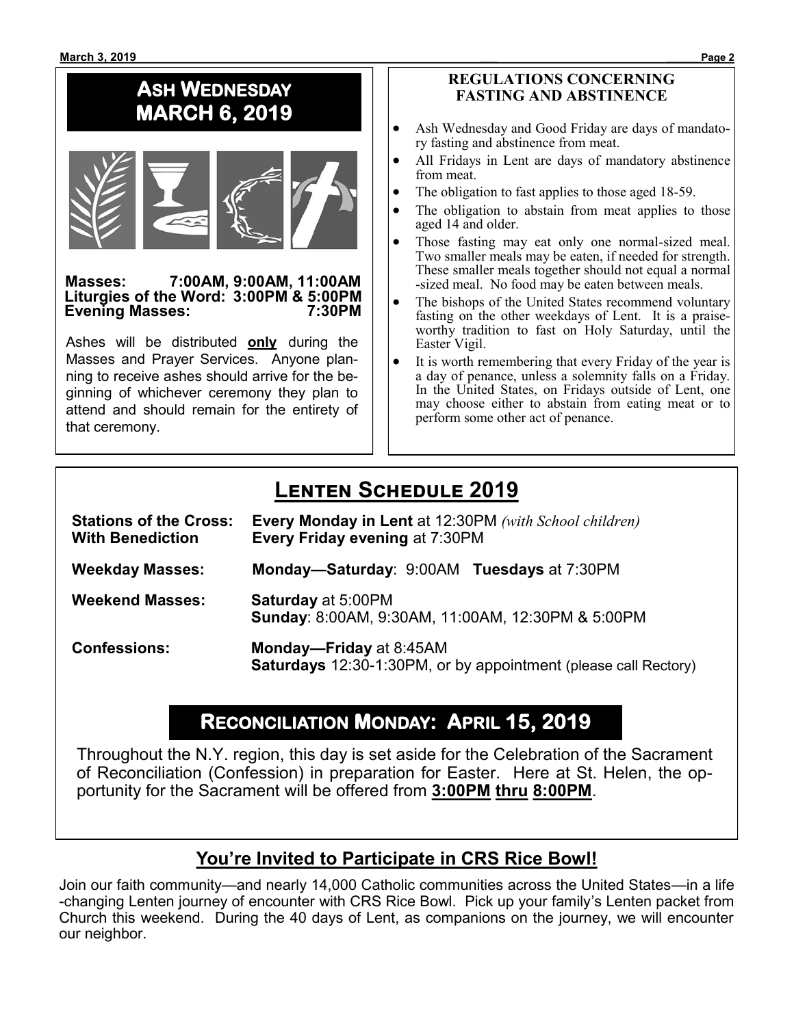# **ASH WEDNESDAY MARCH 6, 2019**



#### **Masses: 7:00AM, 9:00AM, 11:00AM Liturgies of the Word: 3:00PM & 5:00PM Evening Masses: 7:30PM**

Ashes will be distributed **only** during the Masses and Prayer Services. Anyone planning to receive ashes should arrive for the beginning of whichever ceremony they plan to attend and should remain for the entirety of that ceremony.

### **REGULATIONS CONCERNING FASTING AND ABSTINENCE**

- Ash Wednesday and Good Friday are days of mandatory fasting and abstinence from meat.
- All Fridays in Lent are days of mandatory abstinence from meat.
- The obligation to fast applies to those aged 18-59.
- The obligation to abstain from meat applies to those aged 14 and older.
- Those fasting may eat only one normal-sized meal. Two smaller meals may be eaten, if needed for strength. These smaller meals together should not equal a normal -sized meal. No food may be eaten between meals.
- The bishops of the United States recommend voluntary fasting on the other weekdays of Lent. It is a praiseworthy tradition to fast on Holy Saturday, until the Easter Vigil.
- It is worth remembering that every Friday of the year is a day of penance, unless a solemnity falls on a Friday. In the United States, on Fridays outside of Lent, one may choose either to abstain from eating meat or to perform some other act of penance.

# **Lenten Schedule 2019**

| <b>Stations of the Cross:</b><br><b>With Benediction</b> | <b>Every Monday in Lent at 12:30PM</b> (with School children)<br>Every Friday evening at 7:30PM   |
|----------------------------------------------------------|---------------------------------------------------------------------------------------------------|
| <b>Weekday Masses:</b>                                   | Monday-Saturday: 9:00AM Tuesdays at 7:30PM                                                        |
| <b>Weekend Masses:</b>                                   | <b>Saturday at 5:00PM</b><br>Sunday: 8:00AM, 9:30AM, 11:00AM, 12:30PM & 5:00PM                    |
| <b>Confessions:</b>                                      | Monday-Friday at 8:45AM<br><b>Saturdays</b> 12:30-1:30PM, or by appointment (please call Rectory) |

# **RECONCILIATION MONDAY: APRIL 15, 2019**

Throughout the N.Y. region, this day is set aside for the Celebration of the Sacrament of Reconciliation (Confession) in preparation for Easter. Here at St. Helen, the opportunity for the Sacrament will be offered from **3:00PM thru 8:00PM**.

## **You're Invited to Participate in CRS Rice Bowl!**

Join our faith community—and nearly 14,000 Catholic communities across the United States—in a life -changing Lenten journey of encounter with CRS Rice Bowl. Pick up your family's Lenten packet from Church this weekend. During the 40 days of Lent, as companions on the journey, we will encounter our neighbor.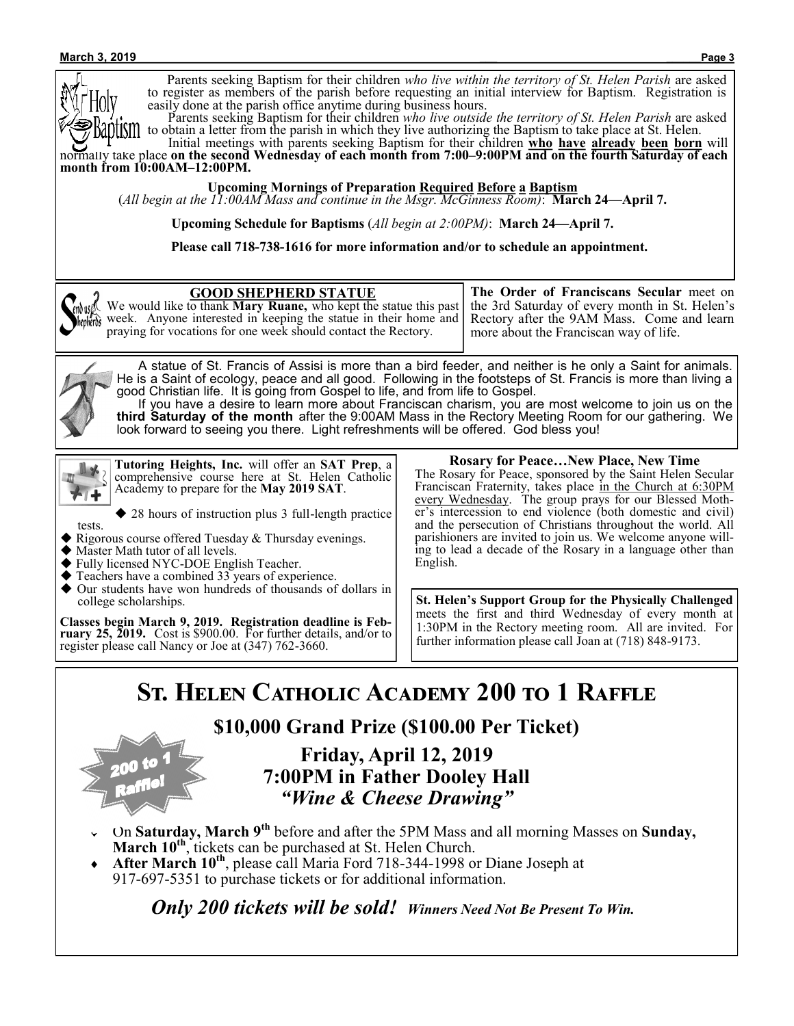#### **March 3, 2019 \_\_\_ \_\_\_\_\_\_Page 3**

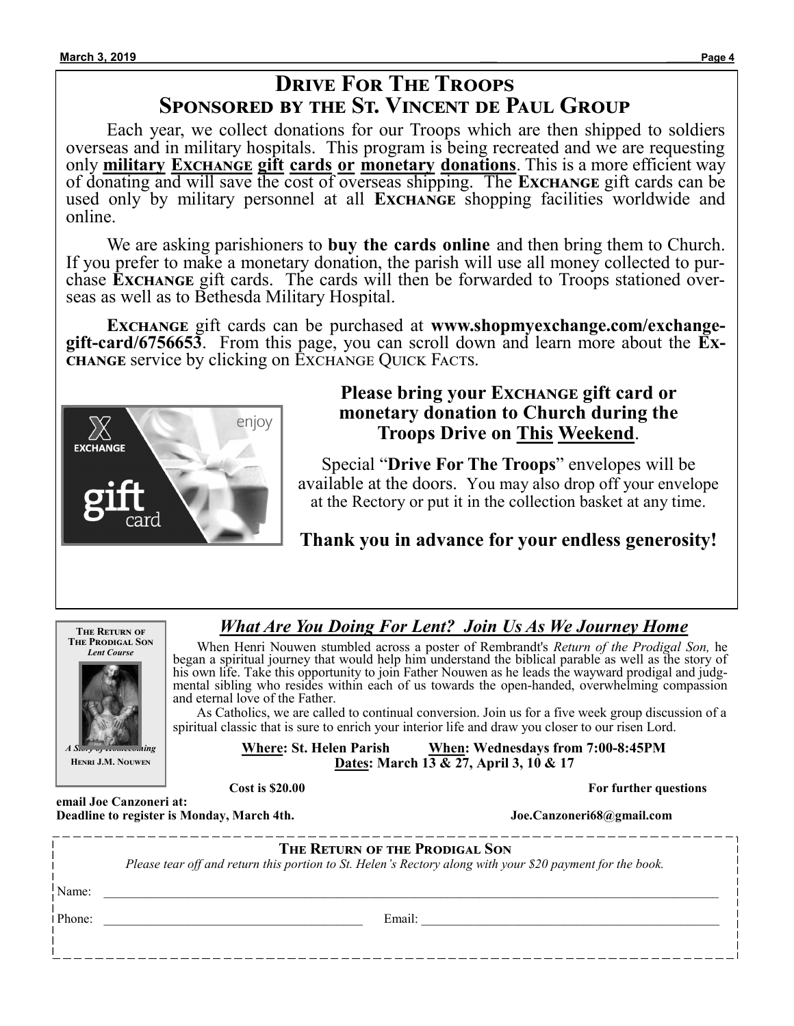## **Drive For The Troops Sponsored by the St. Vincent de Paul Group**

Each year, we collect donations for our Troops which are then shipped to soldiers overseas and in military hospitals. This program is being recreated and we are requesting only **military Exchange gift cards or monetary donations**. This is a more efficient way of donating and will save the cost of overseas shipping. The **Exchange** gift cards can be used only by military personnel at all **Exchange** shopping facilities worldwide and online.

We are asking parishioners to **buy the cards online** and then bring them to Church. If you prefer to make a monetary donation, the parish will use all money collected to purchase **Exchange** gift cards. The cards will then be forwarded to Troops stationed overseas as well as to Bethesda Military Hospital.

**Exchange** gift cards can be purchased at **www.shopmyexchange.com/exchangegift-card/6756653**. From this page, you can scroll down and learn more about the **Exchange** service by clicking on Exchange Quick Facts.



## **Please bring your Exchange gift card or monetary donation to Church during the Troops Drive on This Weekend**.

Special "**Drive For The Troops**" envelopes will be available at the doors. You may also drop off your envelope at the Rectory or put it in the collection basket at any time.

## **Thank you in advance for your endless generosity!**



## *What Are You Doing For Lent? Join Us As We Journey Home*

 When Henri Nouwen stumbled across a poster of Rembrandt's *Return of the Prodigal Son,* he began a spiritual journey that would help him understand the biblical parable as well as the story of his own life. Take this opportunity to join Father Nouwen as he leads the wayward prodigal and judgmental sibling who resides within each of us towards the open-handed, overwhelming compassion and eternal love of the Father.

 As Catholics, we are called to continual conversion. Join us for a five week group discussion of a spiritual classic that is sure to enrich your interior life and draw you closer to our risen Lord.

> **Where: St. Helen Parish When: Wednesdays from 7:00-8:45PM Dates: March 13 & 27, April 3, 10 & 17**

**Cost is \$20.00 For further questions** 

**Deadline to register is Monday, March 4th.** Joe.Canzoneri68@gmail.com

|        | THE RETURN OF THE PRODIGAL SON<br>Please tear off and return this portion to St. Helen's Rectory along with your \$20 payment for the book. |
|--------|---------------------------------------------------------------------------------------------------------------------------------------------|
| Name:  |                                                                                                                                             |
| Phone: | Email:                                                                                                                                      |
|        |                                                                                                                                             |